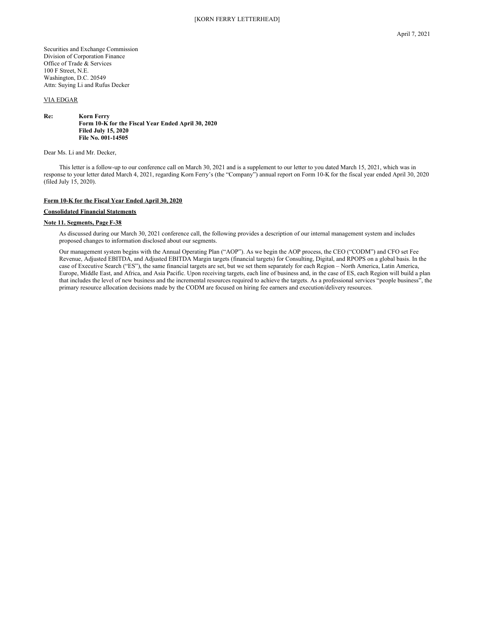Securities and Exchange Commission Division of Corporation Finance Office of Trade & Services 100 F Street, N.E. Washington, D.C. 20549 Attn: Suying Li and Rufus Decker

## VIA EDGAR

#### **Re: Korn Ferry Form 10-K for the Fiscal Year Ended April 30, 2020 Filed July 15, 2020 File No. 001-14505**

Dear Ms. Li and Mr. Decker,

This letter is a follow-up to our conference call on March 30, 2021 and is a supplement to our letter to you dated March 15, 2021, which was in response to your letter dated March 4, 2021, regarding Korn Ferry's (the "Company") annual report on Form 10-K for the fiscal year ended April 30, 2020 (filed July 15, 2020).

## **Form 10-K for the Fiscal Year Ended April 30, 2020**

## **Consolidated Financial Statements**

# **Note 11. Segments, Page F-38**

As discussed during our March 30, 2021 conference call, the following provides a description of our internal management system and includes proposed changes to information disclosed about our segments.

Our management system begins with the Annual Operating Plan ("AOP"). As we begin the AOP process, the CEO ("CODM") and CFO set Fee Revenue, Adjusted EBITDA, and Adjusted EBITDA Margin targets (financial targets) for Consulting, Digital, and RPOPS on a global basis. In the case of Executive Search ("ES"), the same financial targets are set, but we set them separately for each Region – North America, Latin America, Europe, Middle East, and Africa, and Asia Pacific. Upon receiving targets, each line of business and, in the case of ES, each Region will build a plan that includes the level of new business and the incremental resources required to achieve the targets. As a professional services "people business", the primary resource allocation decisions made by the CODM are focused on hiring fee earners and execution/delivery resources.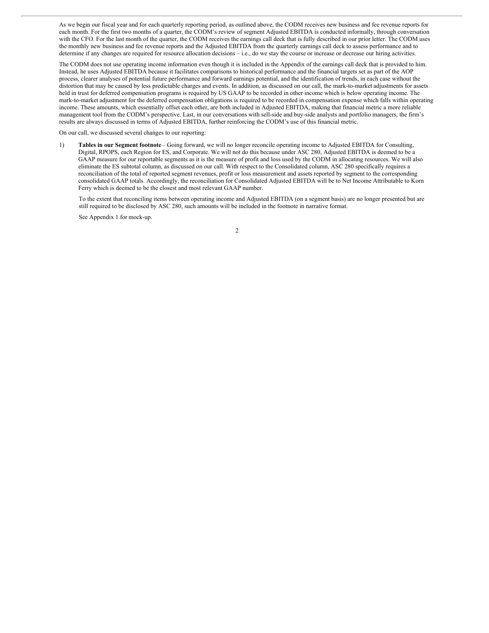As we begin our fiscal year and for each quarterly reporting period, as outlined above, the CODM receives new business and fee revenue reports for each month. For the first two months of a quarter, the CODM's review of segment Adjusted EBITDA is conducted informally, through conversation with the CFO. For the last month of the quarter, the CODM receives the earnings call deck that is fully described in our prior letter. The CODM uses the monthly new business and fee revenue reports and the Adjusted EBITDA from the quarterly earnings call deck to assess performance and to determine if any changes are required for resource allocation decisions – i.e., do we stay the course or increase or decrease our hiring activities.

The CODM does not use operating income information even though it is included in the Appendix of the earnings call deck that is provided to him. Instead, he uses Adjusted EBITDA because it facilitates comparisons to historical performance and the financial targets set as part of the AOP process, clearer analyses of potential future performance and forward earnings potential, and the identification of trends, in each case without the distortion that may be caused by less predictable charges and events. In addition, as discussed on our call, the mark-to-market adjustments for assets held in trust for deferred compensation programs is required by US GAAP to be recorded in other income which is below operating income. The mark-to-market adjustment for the deferred compensation obligations is required to be recorded in compensation expense which falls within operating income. These amounts, which essentially offset each other, are both included in Adjusted EBITDA, making that financial metric a more reliable management tool from the CODM's perspective. Last, in our conversations with sell-side and buy-side analysts and portfolio managers, the firm's results are always discussed in terms of Adjusted EBITDA, further reinforcing the CODM's use of this financial metric.

On our call, we discussed several changes to our reporting:

1) **Tables in our Segment footnote** – Going forward, we will no longer reconcile operating income to Adjusted EBITDA for Consulting, Digital, RPOPS, each Region for ES, and Corporate. We will not do this because under ASC 280, Adjusted EBITDA is deemed to be a GAAP measure for our reportable segments as it is the measure of profit and loss used by the CODM in allocating resources. We will also eliminate the ES subtotal column, as discussed on our call. With respect to the Consolidated column, ASC 280 specifically requires a reconciliation of the total of reported segment revenues, profit or loss measurement and assets reported by segment to the corresponding consolidated GAAP totals. Accordingly, the reconciliation for Consolidated Adjusted EBITDA will be to Net Income Attributable to Korn Ferry which is deemed to be the closest and most relevant GAAP number.

To the extent that reconciling items between operating income and Adjusted EBITDA (on a segment basis) are no longer presented but are still required to be disclosed by ASC 280, such amounts will be included in the footnote in narrative format.

See Appendix 1 for mock-up.

2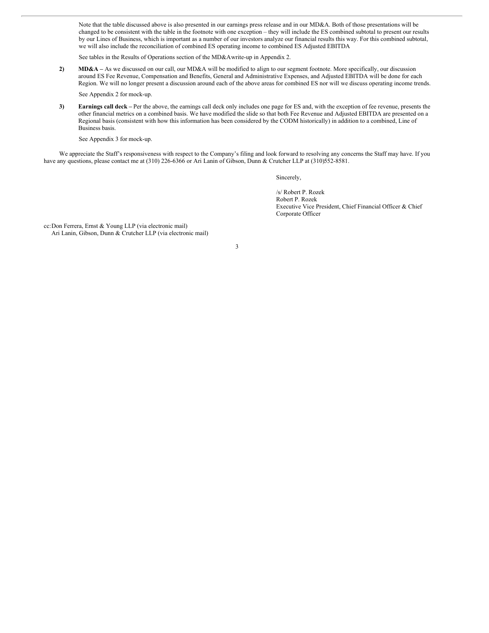Note that the table discussed above is also presented in our earnings press release and in our MD&A. Both of those presentations will be changed to be consistent with the table in the footnote with one exception – they will include the ES combined subtotal to present our results by our Lines of Business, which is important as a number of our investors analyze our financial results this way. For this combined subtotal, we will also include the reconciliation of combined ES operating income to combined ES Adjusted EBITDA

See tables in the Results of Operations section of the MD&Awrite-up in Appendix 2.

**2) MD&A –** As we discussed on our call, our MD&A will be modified to align to our segment footnote. More specifically, our discussion around ES Fee Revenue, Compensation and Benefits, General and Administrative Expenses, and Adjusted EBITDA will be done for each Region. We will no longer present a discussion around each of the above areas for combined ES nor will we discuss operating income trends.

See Appendix 2 for mock-up.

**3) Earnings call deck –** Per the above, the earnings call deck only includes one page for ES and, with the exception of fee revenue, presents the other financial metrics on a combined basis. We have modified the slide so that both Fee Revenue and Adjusted EBITDA are presented on a Regional basis (consistent with how this information has been considered by the CODM historically) in addition to a combined, Line of Business basis.

See Appendix 3 for mock-up.

We appreciate the Staff's responsiveness with respect to the Company's filing and look forward to resolving any concerns the Staff may have. If you have any questions, please contact me at (310) 226-6366 or Ari Lanin of Gibson, Dunn & Crutcher LLP at (310)552-8581.

Sincerely,

/s/ Robert P. Rozek Robert P. Rozek Executive Vice President, Chief Financial Officer & Chief Corporate Officer

cc:Don Ferrera, Ernst & Young LLP (via electronic mail) Ari Lanin, Gibson, Dunn & Crutcher LLP (via electronic mail)

3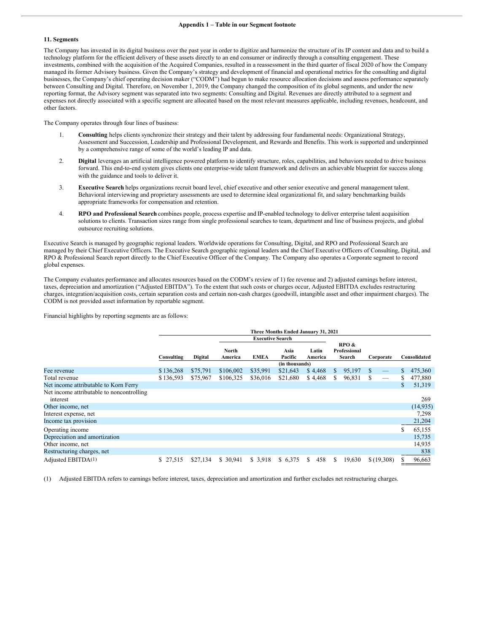#### **11. Segments**

The Company has invested in its digital business over the past year in order to digitize and harmonize the structure of its IP content and data and to build a technology platform for the efficient delivery of these assets directly to an end consumer or indirectly through a consulting engagement. These investments, combined with the acquisition of the Acquired Companies, resulted in a reassessment in the third quarter of fiscal 2020 of how the Company managed its former Advisory business. Given the Company's strategy and development of financial and operational metrics for the consulting and digital businesses, the Company's chief operating decision maker ("CODM") had begun to make resource allocation decisions and assess performance separately between Consulting and Digital. Therefore, on November 1, 2019, the Company changed the composition of its global segments, and under the new reporting format, the Advisory segment was separated into two segments: Consulting and Digital. Revenues are directly attributed to a segment and expenses not directly associated with a specific segment are allocated based on the most relevant measures applicable, including revenues, headcount, and other factors.

The Company operates through four lines of business:

- 1. **Consulting** helps clients synchronize their strategy and their talent by addressing four fundamental needs: Organizational Strategy, Assessment and Succession, Leadership and Professional Development, and Rewards and Benefits. This work is supported and underpinned by a comprehensive range of some of the world's leading lP and data.
- 2. **Digital** leverages an artificial intelligence powered platform to identify structure, roles, capabilities, and behaviors needed to drive business forward. This end-to-end system gives clients one enterprise-wide talent framework and delivers an achievable blueprint for success along with the guidance and tools to deliver it.
- 3. **Executive Search** helps organizations recruit board level, chief executive and other senior executive and general management talent. Behavioral interviewing and proprietary assessments are used to determine ideal organizational fit, and salary benchmarking builds appropriate frameworks for compensation and retention.
- 4. **RPO and Professional Search** combines people, process expertise and IP-enabled technology to deliver enterprise talent acquisition solutions to clients. Transaction sizes range from single professional searches to team, department and line of business projects, and global outsource recruiting solutions.

Executive Search is managed by geographic regional leaders. Worldwide operations for Consulting, Digital, and RPO and Professional Search are managed by their Chief Executive Officers. The Executive Search geographic regional leaders and the Chief Executive Officers of Consulting, Digital, and RPO & Professional Search report directly to the Chief Executive Officer of the Company. The Company also operates a Corporate segment to record global expenses.

The Company evaluates performance and allocates resources based on the CODM's review of 1) fee revenue and 2) adjusted earnings before interest, taxes, depreciation and amortization ("Adjusted EBITDA"). To the extent that such costs or charges occur, Adjusted EBITDA excludes restructuring charges, integration/acquisition costs, certain separation costs and certain non-cash charges (goodwill, intangible asset and other impairment charges). The CODM is not provided asset information by reportable segment.

Financial highlights by reporting segments are as follows:

|                                                       |              |          |                  |                         | Three Months Ended January 31, 2021 |                  |    |                                 |   |                   |   |              |
|-------------------------------------------------------|--------------|----------|------------------|-------------------------|-------------------------------------|------------------|----|---------------------------------|---|-------------------|---|--------------|
|                                                       |              |          |                  | <b>Executive Search</b> |                                     |                  |    |                                 |   |                   |   |              |
|                                                       | Consulting   | Digital  | North<br>America | <b>EMEA</b>             | Asia<br>Pacific                     | Latin<br>America |    | RPO &<br>Professional<br>Search |   | Corporate         |   | Consolidated |
|                                                       |              |          |                  |                         | (in thousands)                      |                  |    |                                 |   |                   |   |              |
| Fee revenue                                           | \$136,268    | \$75,791 | \$106,002        | \$35,991                | \$21,643                            | \$4,468          | S. | 95,197                          | S |                   | S | 475,360      |
| Total revenue                                         | \$136,593    | \$75,967 | \$106,325        | \$36,016                | \$21,680                            | \$4,468          | S. | 96,831                          | S | $\hspace{0.05cm}$ | S | 477,880      |
| Net income attributable to Korn Ferry                 |              |          |                  |                         |                                     |                  |    |                                 |   |                   | S | 51,319       |
| Net income attributable to noncontrolling<br>interest |              |          |                  |                         |                                     |                  |    |                                 |   |                   |   | 269          |
| Other income, net                                     |              |          |                  |                         |                                     |                  |    |                                 |   |                   |   | (14, 935)    |
| Interest expense, net                                 |              |          |                  |                         |                                     |                  |    |                                 |   |                   |   | 7.298        |
| Income tax provision                                  |              |          |                  |                         |                                     |                  |    |                                 |   |                   |   | 21,204       |
| Operating income                                      |              |          |                  |                         |                                     |                  |    |                                 |   |                   | S | 65,155       |
| Depreciation and amortization                         |              |          |                  |                         |                                     |                  |    |                                 |   |                   |   | 15,735       |
| Other income, net                                     |              |          |                  |                         |                                     |                  |    |                                 |   |                   |   | 14,935       |
| Restructuring charges, net                            |              |          |                  |                         |                                     |                  |    |                                 |   |                   |   | 838          |
| Adjusted EBITDA $(1)$                                 | 27,515<br>S. | \$27,134 | \$ 30,941        | \$3,918                 | \$ 6,375                            | 458<br>S.        | S. | 19,630                          |   | \$(19,308)        |   | 96,663       |

(1) Adjusted EBITDA refers to earnings before interest, taxes, depreciation and amortization and further excludes net restructuring charges.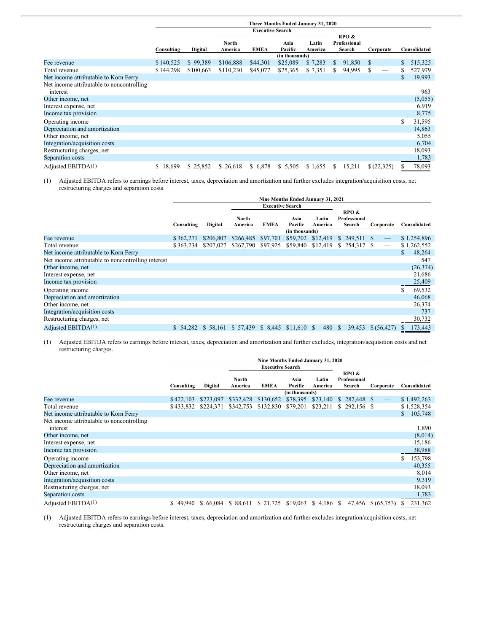|                                                       |              | Three Months Ended January 31, 2020 |                  |                         |                 |                  |              |                                 |               |  |    |              |  |
|-------------------------------------------------------|--------------|-------------------------------------|------------------|-------------------------|-----------------|------------------|--------------|---------------------------------|---------------|--|----|--------------|--|
|                                                       |              |                                     |                  | <b>Executive Search</b> |                 |                  |              |                                 |               |  |    |              |  |
|                                                       | Consulting   | <b>Digital</b>                      | North<br>America | <b>EMEA</b>             | Asia<br>Pacific | Latin<br>America |              | RPO &<br>Professional<br>Search | Corporate     |  |    | Consolidated |  |
|                                                       |              |                                     |                  |                         | (in thousands)  |                  |              |                                 |               |  |    |              |  |
| Fee revenue                                           | \$140,525    | \$99,389                            | \$106,888        | \$44,301                | \$25,089        | \$7,283          | <sup>S</sup> | 91,850                          | <sup>\$</sup> |  | S  | 515,325      |  |
| Total revenue                                         | \$144,298    | \$100,663                           | \$110,230        | \$45,077                | \$25,365        | \$7,351          | \$           | 94,995                          | S             |  | S  | 527,979      |  |
| Net income attributable to Korn Ferry                 |              |                                     |                  |                         |                 |                  |              |                                 |               |  | S  | 19,993       |  |
| Net income attributable to noncontrolling<br>interest |              |                                     |                  |                         |                 |                  |              |                                 |               |  |    | 963          |  |
| Other income, net                                     |              |                                     |                  |                         |                 |                  |              |                                 |               |  |    | (5,055)      |  |
| Interest expense, net                                 |              |                                     |                  |                         |                 |                  |              |                                 |               |  |    | 6,919        |  |
| Income tax provision                                  |              |                                     |                  |                         |                 |                  |              |                                 |               |  |    | 8,775        |  |
| Operating income                                      |              |                                     |                  |                         |                 |                  |              |                                 |               |  | S  | 31,595       |  |
| Depreciation and amortization                         |              |                                     |                  |                         |                 |                  |              |                                 |               |  |    | 14,863       |  |
| Other income, net                                     |              |                                     |                  |                         |                 |                  |              |                                 |               |  |    | 5,055        |  |
| Integration/acquisition costs                         |              |                                     |                  |                         |                 |                  |              |                                 |               |  |    | 6,704        |  |
| Restructuring charges, net                            |              |                                     |                  |                         |                 |                  |              |                                 |               |  |    | 18,093       |  |
| Separation costs                                      |              |                                     |                  |                         |                 |                  |              |                                 |               |  |    | 1,783        |  |
| Adjusted EBITDA(1)                                    | 18,699<br>S. | \$25,852                            | \$26,618         | \$6,878                 | \$5,505         | \$1,655          | S.           | 15,211                          | \$(22,325)    |  | S. | 78,093       |  |

(1) Adjusted EBITDA refers to earnings before interest, taxes, depreciation and amortization and further excludes integration/acquisition costs, net restructuring charges and separation costs.

|                                                    |            |           |                              |                         | Nine Months Ended January 31, 2021 |                  |                                 |              |               |
|----------------------------------------------------|------------|-----------|------------------------------|-------------------------|------------------------------------|------------------|---------------------------------|--------------|---------------|
|                                                    |            |           |                              | <b>Executive Search</b> |                                    |                  |                                 |              |               |
|                                                    | Consulting | Digital   | North<br>America             | <b>EMEA</b>             | Asia<br>Pacific                    | Latin<br>America | RPO &<br>Professional<br>Search | Corporate    | Consolidated  |
|                                                    |            |           |                              |                         | (in thousands)                     |                  |                                 |              |               |
| Fee revenue                                        | \$362,271  | \$206,807 | \$266,485                    | \$97,701                |                                    |                  | \$59,702 \$12,419 \$ 249,511 \$ |              | \$1,254,896   |
| Total revenue                                      | \$363,234  | \$207,027 | \$267,790 \$97,925           |                         | \$59,840                           | \$12,419         | $$254,317$ \;                   |              | \$1,262,552   |
| Net income attributable to Korn Ferry              |            |           |                              |                         |                                    |                  |                                 |              | 48,264<br>\$. |
| Net income attributable to noncontrolling interest |            |           |                              |                         |                                    |                  |                                 |              | 547           |
| Other income, net                                  |            |           |                              |                         |                                    |                  |                                 |              | (26, 374)     |
| Interest expense, net                              |            |           |                              |                         |                                    |                  |                                 |              | 21,686        |
| Income tax provision                               |            |           |                              |                         |                                    |                  |                                 |              | 25,409        |
| Operating income                                   |            |           |                              |                         |                                    |                  |                                 |              | S<br>69,532   |
| Depreciation and amortization                      |            |           |                              |                         |                                    |                  |                                 |              | 46,068        |
| Other income, net                                  |            |           |                              |                         |                                    |                  |                                 |              | 26,374        |
| Integration/acquisition costs                      |            |           |                              |                         |                                    |                  |                                 |              | 737           |
| Restructuring charges, net                         |            |           |                              |                         |                                    |                  |                                 |              | 30,732        |
| Adjusted EBITDA(1)                                 | \$54.282   | \$58,161  | \$57,439 \$8,445 \$11,610 \$ |                         |                                    | 480              | 39,453<br>- S                   | \$ (56, 427) | 173,443       |

(1) Adjusted EBITDA refers to earnings before interest, taxes, depreciation and amortization and further excludes, integration/acquisition costs and net restructuring charges.

|                                                       |            |           |                  |                         |                 | Nine Months Ended January 31, 2020 |                                 |                                 |               |
|-------------------------------------------------------|------------|-----------|------------------|-------------------------|-----------------|------------------------------------|---------------------------------|---------------------------------|---------------|
|                                                       |            |           |                  | <b>Executive Search</b> |                 |                                    |                                 |                                 |               |
|                                                       | Consulting | Digital   | North<br>America | <b>EMEA</b>             | Asia<br>Pacific | Latin<br>America                   | RPO &<br>Professional<br>Search | Corporate                       | Consolidated  |
|                                                       |            |           |                  |                         | (in thousands)  |                                    |                                 |                                 |               |
| Fee revenue                                           | \$422,103  | \$223,097 | \$332,428        | \$130,652               | \$78,395        | \$23,140                           | $$282,448$ \, S                 |                                 | \$1,492,263   |
| Total revenue                                         | \$433,832  | \$224,371 | \$342,753        | \$132,830               | \$79,201        | \$23,211                           | $$292,156$ \, $$$               | $\hspace{0.1mm}-\hspace{0.1mm}$ | \$1,528,354   |
| Net income attributable to Korn Ferry                 |            |           |                  |                         |                 |                                    |                                 |                                 | 105,748<br>S. |
| Net income attributable to noncontrolling<br>interest |            |           |                  |                         |                 |                                    |                                 |                                 | 1,890         |
| Other income, net                                     |            |           |                  |                         |                 |                                    |                                 |                                 | (8,014)       |
| Interest expense, net                                 |            |           |                  |                         |                 |                                    |                                 |                                 | 15,186        |
| Income tax provision                                  |            |           |                  |                         |                 |                                    |                                 |                                 | 38,988        |
| Operating income                                      |            |           |                  |                         |                 |                                    |                                 |                                 | S<br>153,798  |
| Depreciation and amortization                         |            |           |                  |                         |                 |                                    |                                 |                                 | 40,355        |
| Other income, net                                     |            |           |                  |                         |                 |                                    |                                 |                                 | 8,014         |
| Integration/acquisition costs                         |            |           |                  |                         |                 |                                    |                                 |                                 | 9,319         |
| Restructuring charges, net                            |            |           |                  |                         |                 |                                    |                                 |                                 | 18,093        |
| Separation costs                                      |            |           |                  |                         |                 |                                    |                                 |                                 | 1,783         |
| Adjusted EBITDA $(1)$                                 | 49.990     | \$66.084  | \$ 88,611        | \$21,725                | \$19,063        | $$4,186$ \, $$$                    | 47,456                          | \$ (65, 753)                    | 231,362       |

(1) Adjusted EBITDA refers to earnings before interest, taxes, depreciation and amortization and further excludes integration/acquisition costs, net restructuring charges and separation costs.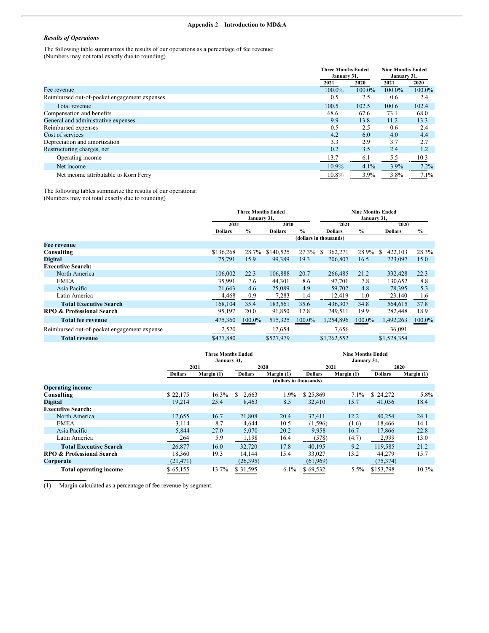# **Appendix 2 – Introduction to MD&A**

## *Results of Operations*

The following table summarizes the results of our operations as a percentage of fee revenue: (Numbers may not total exactly due to rounding)

|                                              | <b>Three Months Ended</b> |        | <b>Nine Months Ended</b> |         |
|----------------------------------------------|---------------------------|--------|--------------------------|---------|
|                                              | January 31,               |        | January 31,              |         |
|                                              | 2021                      | 2020   | 2021                     | 2020    |
| Fee revenue                                  | 100.0%                    | 100.0% | 100.0%                   | 100.0%  |
| Reimbursed out-of-pocket engagement expenses | 0.5                       | 2.5    | 0.6                      | 2.4     |
| Total revenue                                | 100.5                     | 102.5  | 100.6                    | 102.4   |
| Compensation and benefits                    | 68.6                      | 67.6   | 73.1                     | 68.0    |
| General and administrative expenses          | 9.9                       | 13.8   | 11.2                     | 13.3    |
| Reimbursed expenses                          | 0.5                       | 2.5    | 0.6                      | 2.4     |
| Cost of services                             | 4.2                       | 6.0    | 4.0                      | 4.4     |
| Depreciation and amortization                | 3.3                       | 2.9    | 3.7                      | 2.7     |
| Restructuring charges, net                   | 0.2                       | 3.5    | 2.4                      | 1.2     |
| Operating income                             | 13.7                      | 6.1    | 5.5                      | 10.3    |
| Net income                                   | 10.9%                     | 4.1%   | 3.9%                     | 7.2%    |
| Net income attributable to Korn Ferry        | 10.8%                     | 3.9%   | 3.8%                     | $7.1\%$ |

The following tables summarize the results of our operations: (Numbers may not total exactly due to rounding)

|                                             |                | <b>Three Months Ended</b><br>January 31, |                |               | <b>Nine Months Ended</b><br>January 31, |               |                |        |  |  |
|---------------------------------------------|----------------|------------------------------------------|----------------|---------------|-----------------------------------------|---------------|----------------|--------|--|--|
|                                             | 2021           |                                          | 2020           |               | 2021                                    |               | 2020           |        |  |  |
|                                             | <b>Dollars</b> | $\frac{9}{6}$                            | <b>Dollars</b> | $\frac{0}{0}$ | <b>Dollars</b>                          | $\frac{0}{0}$ | <b>Dollars</b> | $\%$   |  |  |
|                                             |                |                                          |                |               | (dollars in thousands)                  |               |                |        |  |  |
| Fee revenue                                 |                |                                          |                |               |                                         |               |                |        |  |  |
| Consulting                                  | \$136,268      | 28.7%                                    | \$140,525      | 27.3%         | 362,271<br><sup>\$</sup>                | 28.9%         | 422,103<br>S   | 28.3%  |  |  |
| <b>Digital</b>                              | 75,791         | 15.9                                     | 99,389         | 19.3          | 206,807                                 | 16.5          | 223,097        | 15.0   |  |  |
| <b>Executive Search:</b>                    |                |                                          |                |               |                                         |               |                |        |  |  |
| North America                               | 106.002        | 22.3                                     | 106,888        | 20.7          | 266,485                                 | 21.2          | 332,428        | 22.3   |  |  |
| <b>EMEA</b>                                 | 35,991         | 7.6                                      | 44,301         | 8.6           | 97,701                                  | 7.8           | 130,652        | 8.8    |  |  |
| Asia Pacific                                | 21,643         | 4.6                                      | 25,089         | 4.9           | 59,702                                  | 4.8           | 78,395         | 5.3    |  |  |
| Latin America                               | 4,468          | 0.9                                      | 7,283          | 1.4           | 12,419                                  | 1.0           | 23,140         | 1.6    |  |  |
| <b>Total Executive Search</b>               | 168.104        | 35.4                                     | 183,561        | 35.6          | 436.307                                 | 34.8          | 564,615        | 37.8   |  |  |
| <b>RPO &amp; Professional Search</b>        | 95,197         | 20.0                                     | 91,850         | 17.8          | 249,511                                 | 19.9          | 282,448        | 18.9   |  |  |
| <b>Total fee revenue</b>                    | 475,360        | 100.0%                                   | 515,325        | 100.0%        | 1,254,896                               | 100.0%        | 1,492,263      | 100.0% |  |  |
| Reimbursed out-of-pocket engagement expense | 2,520          |                                          | 12,654         |               | 7,656                                   |               | 36,091         |        |  |  |
| <b>Total revenue</b>                        | \$477,880      |                                          | \$527,979      |               | \$1,262,552                             |               | \$1,528,354    |        |  |  |

|                                      |                | <b>Three Months Ended</b><br>January 31, |                |                        | <b>Nine Months Ended</b><br>January 31, |            |                |            |  |  |
|--------------------------------------|----------------|------------------------------------------|----------------|------------------------|-----------------------------------------|------------|----------------|------------|--|--|
|                                      | 2021           |                                          | 2020           |                        |                                         | 2021       |                | 2020       |  |  |
|                                      | <b>Dollars</b> | Margin (1)                               | <b>Dollars</b> | Margin (1)             | <b>Dollars</b>                          | Margin (1) | <b>Dollars</b> | Margin (1) |  |  |
|                                      |                |                                          |                | (dollars in thousands) |                                         |            |                |            |  |  |
| <b>Operating income</b>              |                |                                          |                |                        |                                         |            |                |            |  |  |
| Consulting                           | \$22,175       | $16.3\%$                                 | S<br>2,663     | 1.9%                   | \$25,869                                | 7.1%       | \$ 24,272      | 5.8%       |  |  |
| <b>Digital</b>                       | 19,214         | 25.4                                     | 8,463          | 8.5                    | 32,410                                  | 15.7       | 41,036         | 18.4       |  |  |
| <b>Executive Search:</b>             |                |                                          |                |                        |                                         |            |                |            |  |  |
| North America                        | 17,655         | 16.7                                     | 21,808         | 20.4                   | 32,411                                  | 12.2       | 80,254         | 24.1       |  |  |
| <b>EMEA</b>                          | 3,114          | 8.7                                      | 4,644          | 10.5                   | (1,596)                                 | (1.6)      | 18,466         | 14.1       |  |  |
| Asia Pacific                         | 5.844          | 27.0                                     | 5,070          | 20.2                   | 9,958                                   | 16.7       | 17,866         | 22.8       |  |  |
| Latin America                        | 264            | 5.9                                      | 1,198          | 16.4                   | (578)                                   | (4.7)      | 2,999          | 13.0       |  |  |
| <b>Total Executive Search</b>        | 26.877         | 16.0                                     | 32,720         | 17.8                   | 40.195                                  | 9.2        | 119.585        | 21.2       |  |  |
| <b>RPO &amp; Professional Search</b> | 18,360         | 19.3                                     | 14,144         | 15.4                   | 33,027                                  | 13.2       | 44,279         | 15.7       |  |  |
| Corporate                            | (21, 471)      |                                          | (26,395)       |                        | (61,969)                                |            | (75, 374)      |            |  |  |
| <b>Total operating income</b>        | \$65,155       | 13.7%                                    | \$ 31,595      | 6.1%                   | \$69,532                                | $5.5\%$    | \$153,798      | $10.3\%$   |  |  |

(1) Margin calculated as a percentage of fee revenue by segment.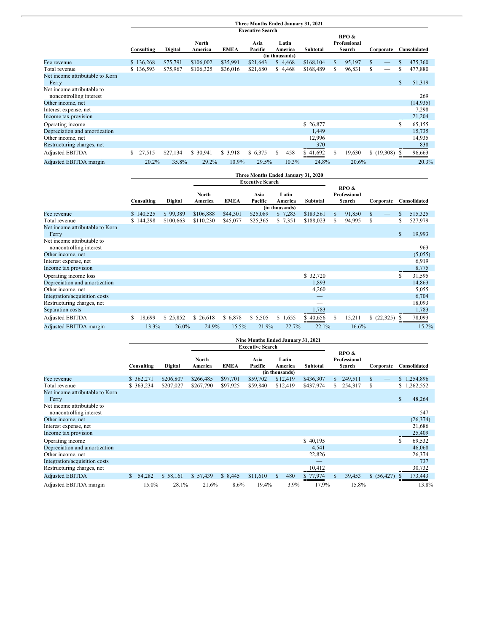|                                                       | Three Months Ended January 31, 2021 |          |                  |             |                         |                  |       |           |   |                                 |   |            |    |              |
|-------------------------------------------------------|-------------------------------------|----------|------------------|-------------|-------------------------|------------------|-------|-----------|---|---------------------------------|---|------------|----|--------------|
|                                                       |                                     |          |                  |             | <b>Executive Search</b> |                  |       |           |   |                                 |   |            |    |              |
|                                                       | Consulting                          | Digital  | North<br>America | <b>EMEA</b> | Asia<br>Pacific         | Latin<br>America |       | Subtotal  |   | RPO &<br>Professional<br>Search |   | Corporate  |    | Consolidated |
|                                                       |                                     |          |                  |             |                         | (in thousands)   |       |           |   |                                 |   |            |    |              |
| Fee revenue                                           | \$136,268                           | \$75,791 | \$106,002        | \$35,991    | \$21,643                | \$4,468          |       | \$168,104 | S | 95,197                          | S |            |    | 475,360      |
| Total revenue                                         | \$136,593                           | \$75,967 | \$106,325        | \$36,016    | \$21,680                | \$4,468          |       | \$168,489 | S | 96,831                          | S |            | \$ | 477,880      |
| Net income attributable to Korn<br>Ferry              |                                     |          |                  |             |                         |                  |       |           |   |                                 |   |            | \$ | 51,319       |
| Net income attributable to<br>noncontrolling interest |                                     |          |                  |             |                         |                  |       |           |   |                                 |   |            |    | 269          |
| Other income, net                                     |                                     |          |                  |             |                         |                  |       |           |   |                                 |   |            |    | (14, 935)    |
| Interest expense, net                                 |                                     |          |                  |             |                         |                  |       |           |   |                                 |   |            |    | 7,298        |
| Income tax provision                                  |                                     |          |                  |             |                         |                  |       |           |   |                                 |   |            |    | 21,204       |
| Operating income                                      |                                     |          |                  |             |                         |                  |       | \$26,877  |   |                                 |   |            | \$ | 65,155       |
| Depreciation and amortization                         |                                     |          |                  |             |                         |                  |       | 1,449     |   |                                 |   |            |    | 15,735       |
| Other income, net                                     |                                     |          |                  |             |                         |                  |       | 12,996    |   |                                 |   |            |    | 14,935       |
| Restructuring charges, net                            |                                     |          |                  |             |                         |                  |       | 370       |   |                                 |   |            |    | 838          |
| <b>Adjusted EBITDA</b>                                | 27,515<br>S.                        | \$27,134 | \$ 30,941        | \$3,918     | \$6,375                 | <sup>\$</sup>    | 458   | \$41,692  | S | 19,630                          |   | \$(19,308) | S  | 96,663       |
| Adjusted EBITDA margin                                | 20.2%                               | 35.8%    | 29.2%            | 10.9%       | 29.5%                   |                  | 10.3% | 24.8%     |   | 20.6%                           |   |            |    | 20.3%        |

|                                                       | Three Months Ended January 31, 2020 |           |                  |             |                         |                                    |           |                                 |        |           |    |              |
|-------------------------------------------------------|-------------------------------------|-----------|------------------|-------------|-------------------------|------------------------------------|-----------|---------------------------------|--------|-----------|----|--------------|
|                                                       |                                     |           |                  |             | <b>Executive Search</b> |                                    |           |                                 |        |           |    |              |
|                                                       | Consulting                          | Digital   | North<br>America | <b>EMEA</b> | Asia<br>Pacific         | Latin<br>America<br>(in thousands) | Subtotal  | RPO &<br>Professional<br>Search |        | Corporate |    | Consolidated |
| Fee revenue                                           | \$140,525                           | \$99,389  | \$106,888        | \$44,301    | \$25,089                | \$7,283                            | \$183,561 | S                               | 91,850 | S.        |    | 515,325      |
| Total revenue                                         | \$144,298                           | \$100,663 | \$110,230        | \$45,077    | \$25,365                | \$7,351                            | \$188,023 | S                               | 94,995 | S         |    | 527,979      |
| Net income attributable to Korn<br>Ferry              |                                     |           |                  |             |                         |                                    |           |                                 |        |           | \$ | 19,993       |
| Net income attributable to<br>noncontrolling interest |                                     |           |                  |             |                         |                                    |           |                                 |        |           |    | 963          |
| Other income, net                                     |                                     |           |                  |             |                         |                                    |           |                                 |        |           |    | (5,055)      |
| Interest expense, net                                 |                                     |           |                  |             |                         |                                    |           |                                 |        |           |    | 6,919        |
| Income tax provision                                  |                                     |           |                  |             |                         |                                    |           |                                 |        |           |    | 8,775        |
| Operating income loss                                 |                                     |           |                  |             |                         |                                    | \$ 32,720 |                                 |        |           | \$ | 31,595       |
| Depreciation and amortization                         |                                     |           |                  |             |                         |                                    | 1,893     |                                 |        |           |    | 14,863       |
| Other income, net                                     |                                     |           |                  |             |                         |                                    | 4,260     |                                 |        |           |    | 5,055        |
| Integration/acquisition costs                         |                                     |           |                  |             |                         |                                    |           |                                 |        |           |    | 6,704        |
| Restructuring charges, net                            |                                     |           |                  |             |                         |                                    |           |                                 |        |           |    | 18,093       |
| Separation costs                                      |                                     |           |                  |             |                         |                                    | 1,783     |                                 |        |           |    | 1,783        |
| Adjusted EBITDA                                       | 18,699<br>\$.                       | \$25,852  | \$26,618         | \$6,878     | \$5,505                 | \$1,655                            | 40,656    | S                               | 15,211 | (22,325)  | S  | 78,093       |
| Adjusted EBITDA margin                                | 13.3%                               | $26.0\%$  | 24.9%            | 15.5%       | 21.9%                   | 22.7%                              | 22.1%     |                                 | 16.6%  |           |    | $15.2\%$     |

|                                                       |            |           |                  |             |                         |                  | Nine Months Ended January 31, 2021 |    |                                 |             |              |
|-------------------------------------------------------|------------|-----------|------------------|-------------|-------------------------|------------------|------------------------------------|----|---------------------------------|-------------|--------------|
|                                                       |            |           |                  |             | <b>Executive Search</b> |                  |                                    |    |                                 |             |              |
|                                                       | Consulting | Digital   | North<br>America | <b>EMEA</b> | Asia<br>Pacific         | Latin<br>America | <b>Subtotal</b>                    |    | RPO &<br>Professional<br>Search | Corporate   | Consolidated |
|                                                       |            |           |                  |             |                         | (in thousands)   |                                    |    |                                 |             |              |
| Fee revenue                                           | \$362,271  | \$206,807 | \$266,485        | \$97,701    | \$59,702                | \$12,419         | \$436,307                          | S. | 249,511                         | S.          | \$1,254,896  |
| Total revenue                                         | \$363,234  | \$207,027 | \$267,790        | \$97,925    | \$59,840                | \$12,419         | \$437,974                          | S. | 254,317                         | S           | \$1,262,552  |
| Net income attributable to Korn<br>Ferry              |            |           |                  |             |                         |                  |                                    |    |                                 |             | \$<br>48,264 |
| Net income attributable to<br>noncontrolling interest |            |           |                  |             |                         |                  |                                    |    |                                 |             | 547          |
| Other income, net                                     |            |           |                  |             |                         |                  |                                    |    |                                 |             | (26, 374)    |
| Interest expense, net                                 |            |           |                  |             |                         |                  |                                    |    |                                 |             | 21,686       |
| Income tax provision                                  |            |           |                  |             |                         |                  |                                    |    |                                 |             | 25,409       |
| Operating income                                      |            |           |                  |             |                         |                  | \$40,195                           |    |                                 |             | \$<br>69,532 |
| Depreciation and amortization                         |            |           |                  |             |                         |                  | 4,541                              |    |                                 |             | 46,068       |
| Other income, net                                     |            |           |                  |             |                         |                  | 22,826                             |    |                                 |             | 26,374       |
| Integration/acquisition costs                         |            |           |                  |             |                         |                  |                                    |    |                                 |             | 737          |
| Restructuring charges, net                            |            |           |                  |             |                         |                  | 10,412                             |    |                                 |             | 30,732       |
| <b>Adjusted EBITDA</b>                                | \$54,282   | \$58,161  | \$57,439         | \$8,445     | \$11,610                | <sup>\$</sup>    | 480<br>77,974                      | S  | 39,453                          | \$ (56,427) | 173,443      |
| Adjusted EBITDA margin                                | 15.0%      | 28.1%     | 21.6%            | 8.6%        | 19.4%                   |                  | 17.9%<br>3.9%                      |    | 15.8%                           |             | 13.8%        |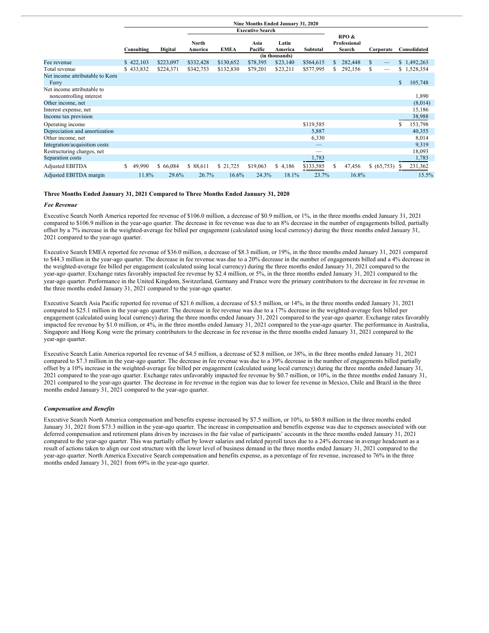|                                                       |              |           |                  |             |                         | Nine Months Ended January 31, 2020 |           |                                 |               |    |              |
|-------------------------------------------------------|--------------|-----------|------------------|-------------|-------------------------|------------------------------------|-----------|---------------------------------|---------------|----|--------------|
|                                                       |              |           |                  |             | <b>Executive Search</b> |                                    |           |                                 |               |    |              |
|                                                       | Consulting   | Digital   | North<br>America | <b>EMEA</b> | Asia<br>Pacific         | Latin<br>America                   | Subtotal  | RPO &<br>Professional<br>Search | Corporate     |    | Consolidated |
|                                                       |              |           |                  |             |                         | (in thousands)                     |           |                                 |               |    |              |
| Fee revenue                                           | \$422,103    | \$223,097 | \$332,428        | \$130,652   | \$78,395                | \$23,140                           | \$564,615 | \$.<br>282,448                  | $\mathcal{S}$ |    | \$1,492,263  |
| Total revenue                                         | \$433,832    | \$224,371 | \$342,753        | \$132,830   | \$79,201                | \$23,211                           | \$577,995 | \$<br>292,156                   | S             |    | \$1,528,354  |
| Net income attributable to Korn<br>Ferry              |              |           |                  |             |                         |                                    |           |                                 |               | \$ | 105,748      |
| Net income attributable to<br>noncontrolling interest |              |           |                  |             |                         |                                    |           |                                 |               |    | 1,890        |
| Other income, net                                     |              |           |                  |             |                         |                                    |           |                                 |               |    | (8,014)      |
| Interest expense, net                                 |              |           |                  |             |                         |                                    |           |                                 |               |    | 15,186       |
| Income tax provision                                  |              |           |                  |             |                         |                                    |           |                                 |               |    | 38,988       |
| Operating income                                      |              |           |                  |             |                         |                                    | \$119,585 |                                 |               | \$ | 153,798      |
| Depreciation and amortization                         |              |           |                  |             |                         |                                    | 5,887     |                                 |               |    | 40,355       |
| Other income, net                                     |              |           |                  |             |                         |                                    | 6,330     |                                 |               |    | 8,014        |
| Integration/acquisition costs                         |              |           |                  |             |                         |                                    |           |                                 |               |    | 9,319        |
| Restructuring charges, net                            |              |           |                  |             |                         |                                    | --        |                                 |               |    | 18,093       |
| Separation costs                                      |              |           |                  |             |                         |                                    | 1,783     |                                 |               |    | 1,783        |
| <b>Adjusted EBITDA</b>                                | \$<br>49,990 | \$66,084  | \$88,611         | \$ 21,725   | \$19,063                | \$4,186                            | \$133,585 | \$<br>47,456                    | \$ (65,753)   | S. | 231,362      |
| Adjusted EBITDA margin                                | 11.8%        | 29.6%     | 26.7%            | 16.6%       | 24.3%                   | 18.1%                              | 23.7%     | 16.8%                           |               |    | 15.5%        |

## **Three Months Ended January 31, 2021 Compared to Three Months Ended January 31, 2020**

#### *Fee Revenue*

Executive Search North America reported fee revenue of \$106.0 million, a decrease of \$0.9 million, or 1%, in the three months ended January 31, 2021 compared to \$106.9 million in the year-ago quarter. The decrease in fee revenue was due to an 8% decrease in the number of engagements billed, partially offset by a 7% increase in the weighted-average fee billed per engagement (calculated using local currency) during the three months ended January 31, 2021 compared to the year-ago quarter.

Executive Search EMEA reported fee revenue of \$36.0 million, a decrease of \$8.3 million, or 19%, in the three months ended January 31, 2021 compared to \$44.3 million in the year-ago quarter. The decrease in fee revenue was due to a 20% decrease in the number of engagements billed and a 4% decrease in the weighted-average fee billed per engagement (calculated using local currency) during the three months ended January 31, 2021 compared to the year-ago quarter. Exchange rates favorably impacted fee revenue by \$2.4 million, or 5%, in the three months ended January 31, 2021 compared to the year-ago quarter. Performance in the United Kingdom, Switzerland, Germany and France were the primary contributors to the decrease in fee revenue in the three months ended January 31, 2021 compared to the year-ago quarter.

Executive Search Asia Pacific reported fee revenue of \$21.6 million, a decrease of \$3.5 million, or 14%, in the three months ended January 31, 2021 compared to \$25.1 million in the year-ago quarter. The decrease in fee revenue was due to a 17% decrease in the weighted-average fees billed per engagement (calculated using local currency) during the three months ended January 31, 2021 compared to the year-ago quarter. Exchange rates favorably impacted fee revenue by \$1.0 million, or 4%, in the three months ended January 31, 2021 compared to the year-ago quarter. The performance in Australia, Singapore and Hong Kong were the primary contributors to the decrease in fee revenue in the three months ended January 31, 2021 compared to the year-ago quarter.

Executive Search Latin America reported fee revenue of \$4.5 million, a decrease of \$2.8 million, or 38%, in the three months ended January 31, 2021 compared to \$7.3 million in the year-ago quarter. The decrease in fee revenue was due to a 39% decrease in the number of engagements billed partially offset by a 10% increase in the weighted-average fee billed per engagement (calculated using local currency) during the three months ended January 31, 2021 compared to the year-ago quarter. Exchange rates unfavorably impacted fee revenue by \$0.7 million, or 10%, in the three months ended January 31, 2021 compared to the year-ago quarter. The decrease in fee revenue in the region was due to lower fee revenue in Mexico, Chile and Brazil in the three months ended January 31, 2021 compared to the year-ago quarter.

#### *Compensation and Benefits*

Executive Search North America compensation and benefits expense increased by \$7.5 million, or 10%, to \$80.8 million in the three months ended January 31, 2021 from \$73.3 million in the year-ago quarter. The increase in compensation and benefits expense was due to expenses associated with our deferred compensation and retirement plans driven by increases in the fair value of participants' accounts in the three months ended January 31, 2021 compared to the year-ago quarter. This was partially offset by lower salaries and related payroll taxes due to a 24% decrease in average headcount as a result of actions taken to align our cost structure with the lower level of business demand in the three months ended January 31, 2021 compared to the year-ago quarter. North America Executive Search compensation and benefits expense, as a percentage of fee revenue, increased to 76% in the three months ended January 31, 2021 from 69% in the year-ago quarter.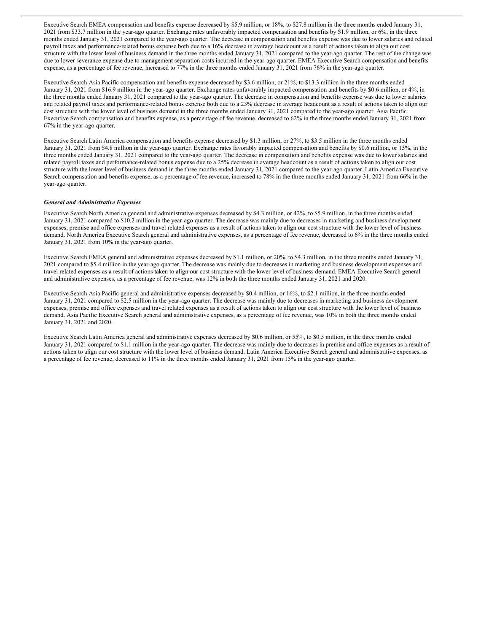Executive Search EMEA compensation and benefits expense decreased by \$5.9 million, or 18%, to \$27.8 million in the three months ended January 31, 2021 from \$33.7 million in the year-ago quarter. Exchange rates unfavorably impacted compensation and benefits by \$1.9 million, or 6%, in the three months ended January 31, 2021 compared to the year-ago quarter. The decrease in compensation and benefits expense was due to lower salaries and related payroll taxes and performance-related bonus expense both due to a 16% decrease in average headcount as a result of actions taken to align our cost structure with the lower level of business demand in the three months ended January 31, 2021 compared to the year-ago quarter. The rest of the change was due to lower severance expense due to management separation costs incurred in the year-ago quarter. EMEA Executive Search compensation and benefits expense, as a percentage of fee revenue, increased to 77% in the three months ended January 31, 2021 from 76% in the year-ago quarter.

Executive Search Asia Pacific compensation and benefits expense decreased by \$3.6 million, or 21%, to \$13.3 million in the three months ended January 31, 2021 from \$16.9 million in the year-ago quarter. Exchange rates unfavorably impacted compensation and benefits by \$0.6 million, or 4%, in the three months ended January 31, 2021 compared to the year-ago quarter. The decrease in compensation and benefits expense was due to lower salaries and related payroll taxes and performance-related bonus expense both due to a 23% decrease in average headcount as a result of actions taken to align our cost structure with the lower level of business demand in the three months ended January 31, 2021 compared to the year-ago quarter. Asia Pacific Executive Search compensation and benefits expense, as a percentage of fee revenue, decreased to 62% in the three months ended January 31, 2021 from 67% in the year-ago quarter.

Executive Search Latin America compensation and benefits expense decreased by \$1.3 million, or 27%, to \$3.5 million in the three months ended January 31, 2021 from \$4.8 million in the year-ago quarter. Exchange rates favorably impacted compensation and benefits by \$0.6 million, or 13%, in the three months ended January 31, 2021 compared to the year-ago quarter. The decrease in compensation and benefits expense was due to lower salaries and related payroll taxes and performance-related bonus expense due to a 25% decrease in average headcount as a result of actions taken to align our cost structure with the lower level of business demand in the three months ended January 31, 2021 compared to the year-ago quarter. Latin America Executive Search compensation and benefits expense, as a percentage of fee revenue, increased to 78% in the three months ended January 31, 2021 from 66% in the year-ago quarter.

### *General and Administrative Expenses*

Executive Search North America general and administrative expenses decreased by \$4.3 million, or 42%, to \$5.9 million, in the three months ended January 31, 2021 compared to \$10.2 million in the year-ago quarter. The decrease was mainly due to decreases in marketing and business development expenses, premise and office expenses and travel related expenses as a result of actions taken to align our cost structure with the lower level of business demand. North America Executive Search general and administrative expenses, as a percentage of fee revenue, decreased to 6% in the three months ended January 31, 2021 from 10% in the year-ago quarter.

Executive Search EMEA general and administrative expenses decreased by \$1.1 million, or 20%, to \$4.3 million, in the three months ended January 31, 2021 compared to \$5.4 million in the year-ago quarter. The decrease was mainly due to decreases in marketing and business development expenses and travel related expenses as a result of actions taken to align our cost structure with the lower level of business demand. EMEA Executive Search general and administrative expenses, as a percentage of fee revenue, was 12% in both the three months ended January 31, 2021 and 2020.

Executive Search Asia Pacific general and administrative expenses decreased by \$0.4 million, or 16%, to \$2.1 million, in the three months ended January 31, 2021 compared to \$2.5 million in the year-ago quarter. The decrease was mainly due to decreases in marketing and business development expenses, premise and office expenses and travel related expenses as a result of actions taken to align our cost structure with the lower level of business demand. Asia Pacific Executive Search general and administrative expenses, as a percentage of fee revenue, was 10% in both the three months ended January 31, 2021 and 2020.

Executive Search Latin America general and administrative expenses decreased by \$0.6 million, or 55%, to \$0.5 million, in the three months ended January 31, 2021 compared to \$1.1 million in the year-ago quarter. The decrease was mainly due to decreases in premise and office expenses as a result of actions taken to align our cost structure with the lower level of business demand. Latin America Executive Search general and administrative expenses, as a percentage of fee revenue, decreased to 11% in the three months ended January 31, 2021 from 15% in the year-ago quarter.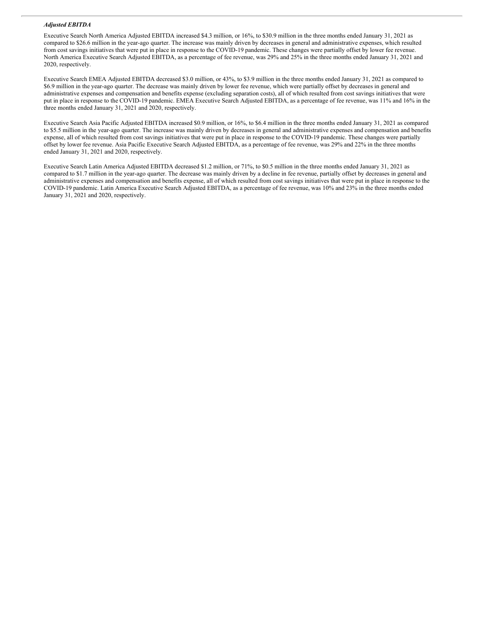#### *Adjusted EBITDA*

Executive Search North America Adjusted EBITDA increased \$4.3 million, or 16%, to \$30.9 million in the three months ended January 31, 2021 as compared to \$26.6 million in the year-ago quarter. The increase was mainly driven by decreases in general and administrative expenses, which resulted from cost savings initiatives that were put in place in response to the COVID-19 pandemic. These changes were partially offset by lower fee revenue. North America Executive Search Adjusted EBITDA, as a percentage of fee revenue, was 29% and 25% in the three months ended January 31, 2021 and 2020, respectively.

Executive Search EMEA Adjusted EBITDA decreased \$3.0 million, or 43%, to \$3.9 million in the three months ended January 31, 2021 as compared to \$6.9 million in the year-ago quarter. The decrease was mainly driven by lower fee revenue, which were partially offset by decreases in general and administrative expenses and compensation and benefits expense (excluding separation costs), all of which resulted from cost savings initiatives that were put in place in response to the COVID-19 pandemic. EMEA Executive Search Adjusted EBITDA, as a percentage of fee revenue, was 11% and 16% in the three months ended January 31, 2021 and 2020, respectively.

Executive Search Asia Pacific Adjusted EBITDA increased \$0.9 million, or 16%, to \$6.4 million in the three months ended January 31, 2021 as compared to \$5.5 million in the year-ago quarter. The increase was mainly driven by decreases in general and administrative expenses and compensation and benefits expense, all of which resulted from cost savings initiatives that were put in place in response to the COVID-19 pandemic. These changes were partially offset by lower fee revenue. Asia Pacific Executive Search Adjusted EBITDA, as a percentage of fee revenue, was 29% and 22% in the three months ended January 31, 2021 and 2020, respectively.

Executive Search Latin America Adjusted EBITDA decreased \$1.2 million, or 71%, to \$0.5 million in the three months ended January 31, 2021 as compared to \$1.7 million in the year-ago quarter. The decrease was mainly driven by a decline in fee revenue, partially offset by decreases in general and administrative expenses and compensation and benefits expense, all of which resulted from cost savings initiatives that were put in place in response to the COVID-19 pandemic. Latin America Executive Search Adjusted EBITDA, as a percentage of fee revenue, was 10% and 23% in the three months ended January 31, 2021 and 2020, respectively.